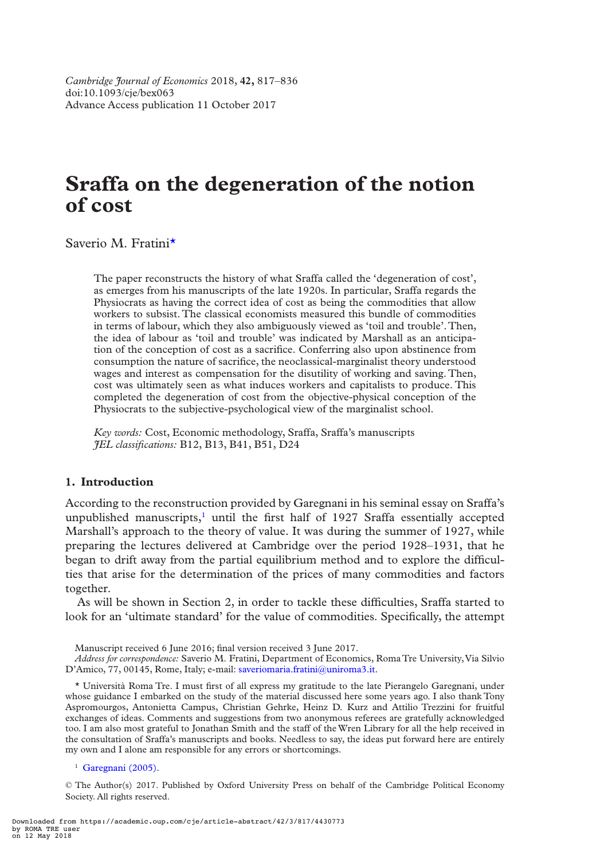*Cambridge Journal of Economics* 2018, **42,** 817–836 doi:10.1093/cje/bex063 Advance Access publication 11 October 2017

# **Sraffa on the degeneration of the notion of cost**

Saverio M. Fratini\*

The paper reconstructs the history of what Sraffa called the 'degeneration of cost', as emerges from his manuscripts of the late 1920s. In particular, Sraffa regards the Physiocrats as having the correct idea of cost as being the commodities that allow workers to subsist. The classical economists measured this bundle of commodities in terms of labour, which they also ambiguously viewed as 'toil and trouble'. Then, the idea of labour as 'toil and trouble' was indicated by Marshall as an anticipation of the conception of cost as a sacrifice. Conferring also upon abstinence from consumption the nature of sacrifice, the neoclassical-marginalist theory understood wages and interest as compensation for the disutility of working and saving. Then, cost was ultimately seen as what induces workers and capitalists to produce. This completed the degeneration of cost from the objective-physical conception of the Physiocrats to the subjective-psychological view of the marginalist school.

*Key words:* Cost, Economic methodology, Sraffa, Sraffa's manuscripts *JEL classi!cations:* B12, B13, B41, B51, D24

## **1. Introduction**

According to the reconstruction provided by Garegnani in his seminal essay on Sraffa's unpublished manuscripts, $<sup>1</sup>$  until the first half of 1927 Sraffa essentially accepted</sup> Marshall's approach to the theory of value. It was during the summer of 1927, while preparing the lectures delivered at Cambridge over the period 1928–1931, that he began to drift away from the partial equilibrium method and to explore the difficulties that arise for the determination of the prices of many commodities and factors together.

As will be shown in Section 2, in order to tackle these difficulties, Sraffa started to look for an 'ultimate standard' for the value of commodities. Specifically, the attempt

\* Università Roma Tre. I must first of all express my gratitude to the late Pierangelo Garegnani, under whose guidance I embarked on the study of the material discussed here some years ago. I also thank Tony Aspromourgos, Antonietta Campus, Christian Gehrke, Heinz D. Kurz and Attilio Trezzini for fruitful exchanges of ideas. Comments and suggestions from two anonymous referees are gratefully acknowledged too. I am also most grateful to Jonathan Smith and the staff of the Wren Library for all the help received in the consultation of Sraffa's manuscripts and books. Needless to say, the ideas put forward here are entirely my own and I alone am responsible for any errors or shortcomings.

 $1$  Garegnani (2005).

© The Author(s) 2017. Published by Oxford University Press on behalf of the Cambridge Political Economy Society. All rights reserved.

Manuscript received 6 June 2016; final version received 3 June 2017.

*Address for correspondence:* Saverio M. Fratini, Department of Economics, Roma Tre University, Via Silvio D'Amico, 77, 00145, Rome, Italy; e-mail: saveriomaria.fratini@uniroma3.it.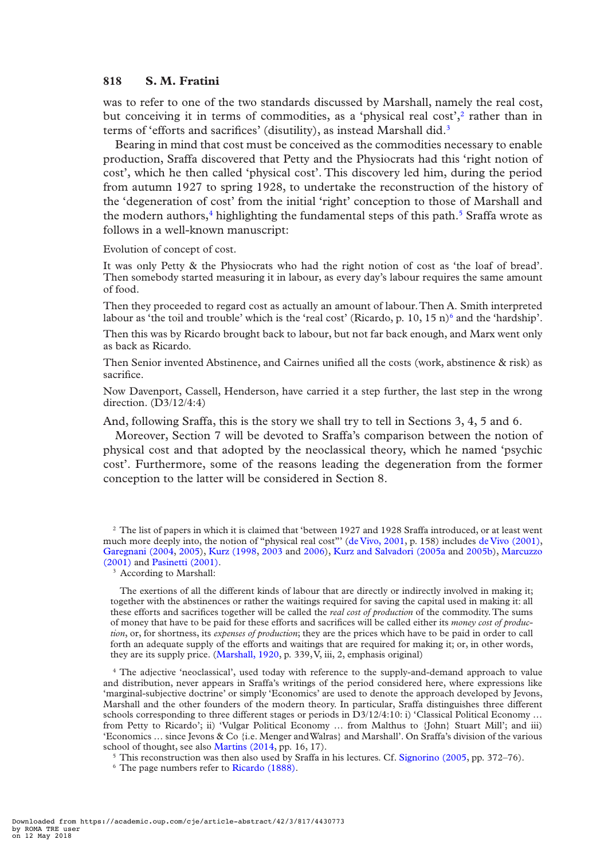was to refer to one of the two standards discussed by Marshall, namely the real cost, but conceiving it in terms of commodities, as a 'physical real cost', $2$  rather than in terms of 'efforts and sacrifices' (disutility), as instead Marshall did.<sup>3</sup>

Bearing in mind that cost must be conceived as the commodities necessary to enable production, Sraffa discovered that Petty and the Physiocrats had this 'right notion of cost', which he then called 'physical cost'. This discovery led him, during the period from autumn 1927 to spring 1928, to undertake the reconstruction of the history of the 'degeneration of cost' from the initial 'right' conception to those of Marshall and the modern authors, $4$  highlighting the fundamental steps of this path.<sup>5</sup> Sraffa wrote as follows in a well-known manuscript:

Evolution of concept of cost.

It was only Petty & the Physiocrats who had the right notion of cost as 'the loaf of bread'. Then somebody started measuring it in labour, as every day's labour requires the same amount of food.

Then they proceeded to regard cost as actually an amount of labour. Then A. Smith interpreted labour as 'the toil and trouble' which is the 'real cost' (Ricardo, p. 10, 15 n) $^6$  and the 'hardship'.

Then this was by Ricardo brought back to labour, but not far back enough, and Marx went only as back as Ricardo.

Then Senior invented Abstinence, and Cairnes unified all the costs (work, abstinence & risk) as sacrifice.

Now Davenport, Cassell, Henderson, have carried it a step further, the last step in the wrong direction. (D3/12/4:4)

And, following Sraffa, this is the story we shall try to tell in Sections 3, 4, 5 and 6.

Moreover, Section 7 will be devoted to Sraffa's comparison between the notion of physical cost and that adopted by the neoclassical theory, which he named 'psychic cost'. Furthermore, some of the reasons leading the degeneration from the former conception to the latter will be considered in Section 8.

<sup>2</sup> The list of papers in which it is claimed that 'between 1927 and 1928 Sraffa introduced, or at least went much more deeply into, the notion of "physical real cost"' (de Vivo, 2001, p. 158) includes de Vivo (2001), Garegnani (2004, 2005), Kurz (1998, 2003 and 2006), Kurz and Salvadori (2005a and 2005b), Marcuzzo (2001) and Pasinetti (2001).

<sup>3</sup> According to Marshall:

The exertions of all the different kinds of labour that are directly or indirectly involved in making it; together with the abstinences or rather the waitings required for saving the capital used in making it: all these efforts and sacrifices together will be called the *real cost of production* of the commodity. The sums of money that have to be paid for these efforts and sacrifices will be called either its *money cost of production*, or, for shortness, its *expenses of production*; they are the prices which have to be paid in order to call forth an adequate supply of the efforts and waitings that are required for making it; or, in other words, they are its supply price. (Marshall, 1920, p. 339, V, iii, 2, emphasis original)

<sup>4</sup> The adjective 'neoclassical', used today with reference to the supply-and-demand approach to value and distribution, never appears in Sraffa's writings of the period considered here, where expressions like 'marginal-subjective doctrine' or simply 'Economics' are used to denote the approach developed by Jevons, Marshall and the other founders of the modern theory. In particular, Sraffa distinguishes three different schools corresponding to three different stages or periods in  $D3/12/4:10:$  i) 'Classical Political Economy ... from Petty to Ricardo'; ii) 'Vulgar Political Economy … from Malthus to {John} Stuart Mill'; and iii) 'Economics … since Jevons & Co {i.e. Menger and Walras} and Marshall'. On Sraffa's division of the various school of thought, see also Martins (2014, pp. 16, 17).

<sup>5</sup> This reconstruction was then also used by Sraffa in his lectures. Cf. Signorino (2005, pp. 372–76).

<sup>6</sup> The page numbers refer to Ricardo (1888).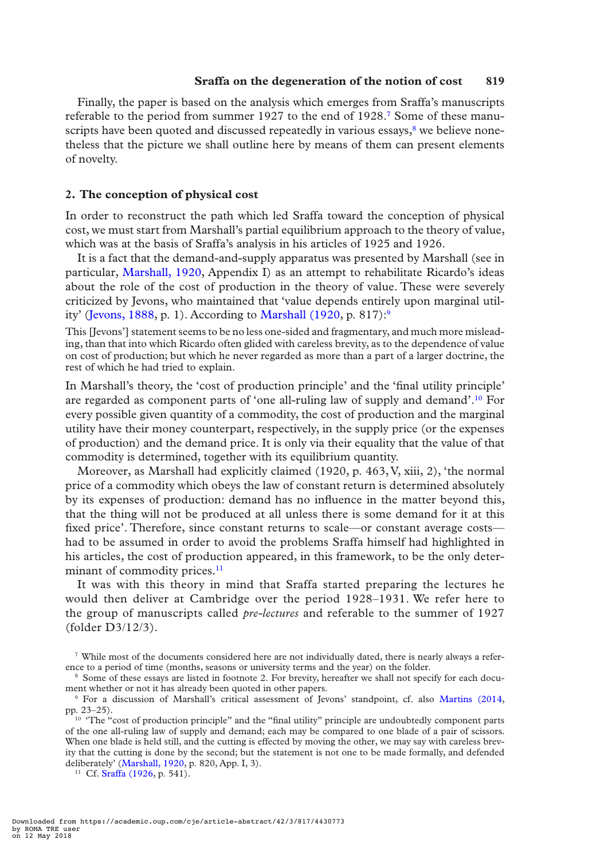Finally, the paper is based on the analysis which emerges from Sraffa's manuscripts referable to the period from summer 1927 to the end of 1928.7 Some of these manuscripts have been quoted and discussed repeatedly in various essays, $\delta$  we believe nonetheless that the picture we shall outline here by means of them can present elements of novelty.

#### **2. The conception of physical cost**

In order to reconstruct the path which led Sraffa toward the conception of physical cost, we must start from Marshall's partial equilibrium approach to the theory of value, which was at the basis of Sraffa's analysis in his articles of 1925 and 1926.

It is a fact that the demand-and-supply apparatus was presented by Marshall (see in particular, Marshall, 1920, Appendix I) as an attempt to rehabilitate Ricardo's ideas about the role of the cost of production in the theory of value. These were severely criticized by Jevons, who maintained that 'value depends entirely upon marginal utility' (Jevons, 1888, p. 1). According to Marshall  $(1920, p. 817)$ :<sup>9</sup>

This [Jevons'] statement seems to be no less one-sided and fragmentary, and much more misleading, than that into which Ricardo often glided with careless brevity, as to the dependence of value on cost of production; but which he never regarded as more than a part of a larger doctrine, the rest of which he had tried to explain.

In Marshall's theory, the 'cost of production principle' and the 'final utility principle' are regarded as component parts of 'one all-ruling law of supply and demand'.10 For every possible given quantity of a commodity, the cost of production and the marginal utility have their money counterpart, respectively, in the supply price (or the expenses of production) and the demand price. It is only via their equality that the value of that commodity is determined, together with its equilibrium quantity.

Moreover, as Marshall had explicitly claimed (1920, p. 463, V, xiii, 2), 'the normal price of a commodity which obeys the law of constant return is determined absolutely by its expenses of production: demand has no influence in the matter beyond this, that the thing will not be produced at all unless there is some demand for it at this fixed price'. Therefore, since constant returns to scale—or constant average costs had to be assumed in order to avoid the problems Sraffa himself had highlighted in his articles, the cost of production appeared, in this framework, to be the only determinant of commodity prices.<sup>11</sup>

It was with this theory in mind that Sraffa started preparing the lectures he would then deliver at Cambridge over the period 1928–1931. We refer here to the group of manuscripts called *pre-lectures* and referable to the summer of 1927 (folder D3/12/3).

<sup>7</sup> While most of the documents considered here are not individually dated, there is nearly always a reference to a period of time (months, seasons or university terms and the year) on the folder.

<sup>8</sup> Some of these essays are listed in footnote 2. For brevity, hereafter we shall not specify for each document whether or not it has already been quoted in other papers.

<sup>9</sup> For a discussion of Marshall's critical assessment of Jevons' standpoint, cf. also Martins (2014, pp. 23–25).

<sup>&</sup>lt;sup>10</sup> 'The "cost of production principle" and the "final utility" principle are undoubtedly component parts of the one all-ruling law of supply and demand; each may be compared to one blade of a pair of scissors. When one blade is held still, and the cutting is effected by moving the other, we may say with careless brevity that the cutting is done by the second; but the statement is not one to be made formally, and defended deliberately' (Marshall, 1920, p. 820, App. I, 3).

<sup>&</sup>lt;sup>11</sup> Cf. Sraffa (1926, p. 541).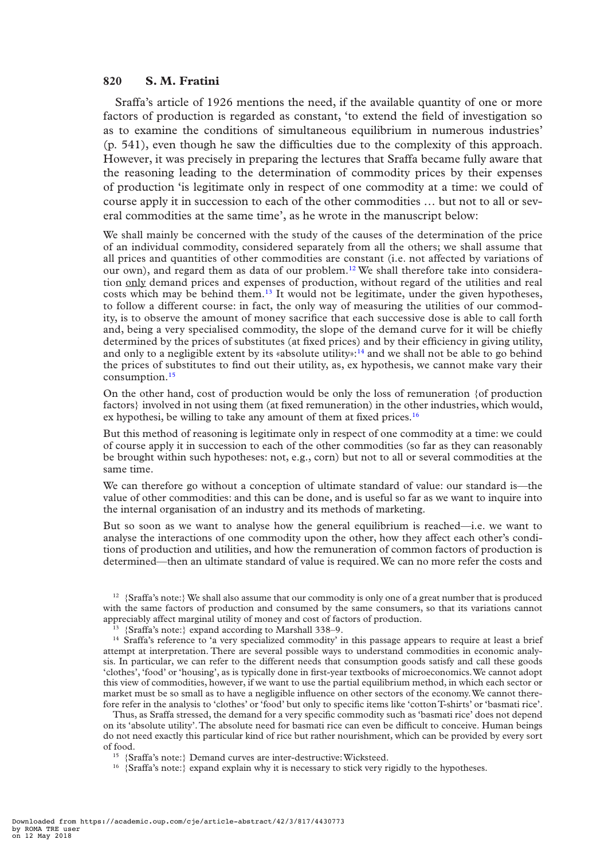Sraffa's article of 1926 mentions the need, if the available quantity of one or more factors of production is regarded as constant, 'to extend the field of investigation so as to examine the conditions of simultaneous equilibrium in numerous industries'  $(p. 541)$ , even though he saw the difficulties due to the complexity of this approach. However, it was precisely in preparing the lectures that Sraffa became fully aware that the reasoning leading to the determination of commodity prices by their expenses of production 'is legitimate only in respect of one commodity at a time: we could of course apply it in succession to each of the other commodities … but not to all or several commodities at the same time', as he wrote in the manuscript below:

We shall mainly be concerned with the study of the causes of the determination of the price of an individual commodity, considered separately from all the others; we shall assume that all prices and quantities of other commodities are constant (i.e. not affected by variations of our own), and regard them as data of our problem.<sup>12</sup> We shall therefore take into consideration only demand prices and expenses of production, without regard of the utilities and real costs which may be behind them.<sup>13</sup> It would not be legitimate, under the given hypotheses, to follow a different course: in fact, the only way of measuring the utilities of our commodity, is to observe the amount of money sacrifice that each successive dose is able to call forth and, being a very specialised commodity, the slope of the demand curve for it will be chiefly determined by the prices of substitutes (at fixed prices) and by their efficiency in giving utility, and only to a negligible extent by its «absolute utility»:<sup>14</sup> and we shall not be able to go behind the prices of substitutes to find out their utility, as, ex hypothesis, we cannot make vary their consumption.15

On the other hand, cost of production would be only the loss of remuneration {of production factors} involved in not using them (at fixed remuneration) in the other industries, which would, ex hypothesi, be willing to take any amount of them at fixed prices. $16$ 

But this method of reasoning is legitimate only in respect of one commodity at a time: we could of course apply it in succession to each of the other commodities (so far as they can reasonably be brought within such hypotheses: not, e.g., corn) but not to all or several commodities at the same time.

We can therefore go without a conception of ultimate standard of value: our standard is—the value of other commodities: and this can be done, and is useful so far as we want to inquire into the internal organisation of an industry and its methods of marketing.

But so soon as we want to analyse how the general equilibrium is reached—i.e. we want to analyse the interactions of one commodity upon the other, how they affect each other's conditions of production and utilities, and how the remuneration of common factors of production is determined—then an ultimate standard of value is required. We can no more refer the costs and

Thus, as Sraffa stressed, the demand for a very specific commodity such as 'basmati rice' does not depend on its 'absolute utility'. The absolute need for basmati rice can even be difficult to conceive. Human beings do not need exactly this particular kind of rice but rather nourishment, which can be provided by every sort of food.

<sup>&</sup>lt;sup>12</sup> {Sraffa's note:} We shall also assume that our commodity is only one of a great number that is produced with the same factors of production and consumed by the same consumers, so that its variations cannot appreciably affect marginal utility of money and cost of factors of production.

 $13$  {Sraffa's note:} expand according to Marshall 338–9.

<sup>&</sup>lt;sup>14</sup> Sraffa's reference to 'a very specialized commodity' in this passage appears to require at least a brief attempt at interpretation. There are several possible ways to understand commodities in economic analysis. In particular, we can refer to the different needs that consumption goods satisfy and call these goods 'clothes', 'food' or 'housing', as is typically done in first-year textbooks of microeconomics. We cannot adopt this view of commodities, however, if we want to use the partial equilibrium method, in which each sector or market must be so small as to have a negligible influence on other sectors of the economy. We cannot therefore refer in the analysis to 'clothes' or 'food' but only to specific items like 'cotton T-shirts' or 'basmati rice'.

<sup>15</sup> {Sraffa's note:} Demand curves are inter-destructive: Wicksteed.

<sup>&</sup>lt;sup>16</sup> {Sraffa's note:} expand explain why it is necessary to stick very rigidly to the hypotheses.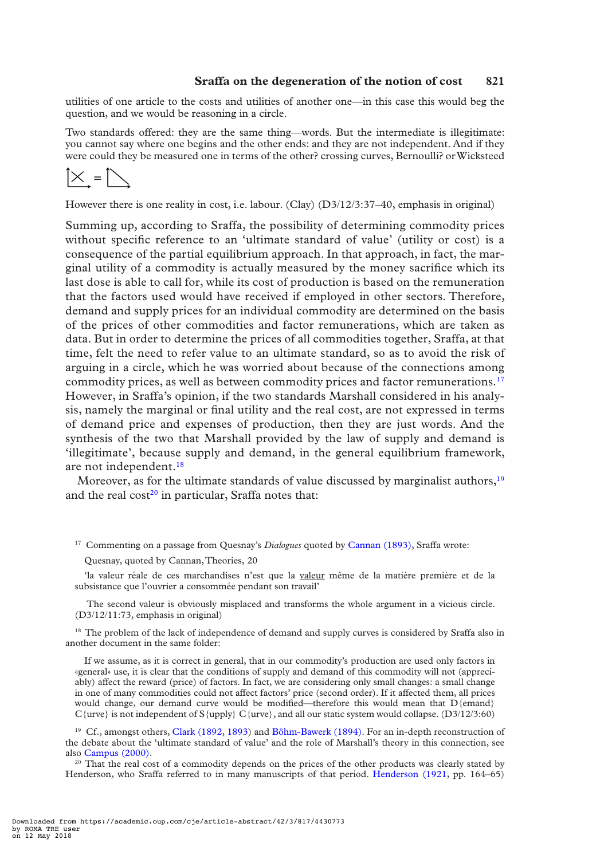utilities of one article to the costs and utilities of another one—in this case this would beg the question, and we would be reasoning in a circle.

Two standards offered: they are the same thing—words. But the intermediate is illegitimate: you cannot say where one begins and the other ends: and they are not independent. And if they were could they be measured one in terms of the other? crossing curves, Bernoulli? or Wicksteed

$$
\sum_{i=1}^{n} \frac{1}{i} \sum_{i=1}^{n} \frac{1}{i} \sum_{i=1}^{n} \frac{1}{i} \sum_{i=1}^{n} \frac{1}{i} \sum_{i=1}^{n} \frac{1}{i} \sum_{i=1}^{n} \frac{1}{i} \sum_{i=1}^{n} \frac{1}{i} \sum_{i=1}^{n} \frac{1}{i} \sum_{i=1}^{n} \frac{1}{i} \sum_{i=1}^{n} \frac{1}{i} \sum_{i=1}^{n} \frac{1}{i} \sum_{i=1}^{n} \frac{1}{i} \sum_{i=1}^{n} \frac{1}{i} \sum_{i=1}^{n} \frac{1}{i} \sum_{i=1}^{n} \frac{1}{i} \sum_{i=1}^{n} \frac{1}{i} \sum_{i=1}^{n} \frac{1}{i} \sum_{i=1}^{n} \frac{1}{i} \sum_{i=1}^{n} \frac{1}{i} \sum_{i=1}^{n} \frac{1}{i} \sum_{i=1}^{n} \frac{1}{i} \sum_{i=1}^{n} \frac{1}{i} \sum_{i=1}^{n} \frac{1}{i} \sum_{i=1}^{n} \frac{1}{i} \sum_{i=1}^{n} \frac{1}{i} \sum_{i=1}^{n} \frac{1}{i} \sum_{i=1}^{n} \frac{1}{i} \sum_{i=1}^{n} \frac{1}{i} \sum_{i=1}^{n} \frac{1}{i} \sum_{i=1}^{n} \frac{1}{i} \sum_{i=1}^{n} \frac{1}{i} \sum_{i=1}^{n} \frac{1}{i} \sum_{i=1}^{n} \frac{1}{i} \sum_{i=1}^{n} \frac{1}{i} \sum_{i=1}^{n} \frac{1}{i} \sum_{i=1}^{n} \frac{1}{i} \sum_{i=1}^{n} \frac{1}{i} \sum_{i=1}^{n} \frac{1}{i} \sum_{i=1}^{n} \frac{1}{i} \sum_{i=1}^{n} \frac{1}{i} \sum_{i=1}^{n} \frac{1}{i} \sum_{i=1}^{n} \frac{1}{i} \sum_{i=1}^{n} \frac{1}{i} \sum_{i=1}^{n} \frac{1}{i} \sum_{i=1}^{n} \frac
$$

However there is one reality in cost, i.e. labour. (Clay) (D3/12/3:37–40, emphasis in original)

Summing up, according to Sraffa, the possibility of determining commodity prices without specific reference to an 'ultimate standard of value' (utility or cost) is a consequence of the partial equilibrium approach. In that approach, in fact, the marginal utility of a commodity is actually measured by the money sacrifice which its last dose is able to call for, while its cost of production is based on the remuneration that the factors used would have received if employed in other sectors. Therefore, demand and supply prices for an individual commodity are determined on the basis of the prices of other commodities and factor remunerations, which are taken as data. But in order to determine the prices of all commodities together, Sraffa, at that time, felt the need to refer value to an ultimate standard, so as to avoid the risk of arguing in a circle, which he was worried about because of the connections among commodity prices, as well as between commodity prices and factor remunerations.17 However, in Sraffa's opinion, if the two standards Marshall considered in his analysis, namely the marginal or final utility and the real cost, are not expressed in terms of demand price and expenses of production, then they are just words. And the synthesis of the two that Marshall provided by the law of supply and demand is 'illegitimate', because supply and demand, in the general equilibrium framework, are not independent.<sup>18</sup>

Moreover, as for the ultimate standards of value discussed by marginalist authors,<sup>19</sup> and the real  $cost^{20}$  in particular, Sraffa notes that:

'la valeur réale de ces marchandises n'est que la valeur même de la matière première et de la subsistance que l'ouvrier a consommée pendant son travail'

 The second valeur is obviously misplaced and transforms the whole argument in a vicious circle. (D3/12/11:73, emphasis in original)

<sup>18</sup> The problem of the lack of independence of demand and supply curves is considered by Sraffa also in another document in the same folder:

If we assume, as it is correct in general, that in our commodity's production are used only factors in «general» use, it is clear that the conditions of supply and demand of this commodity will not (appreciably) affect the reward (price) of factors. In fact, we are considering only small changes: a small change in one of many commodities could not affect factors' price (second order). If it affected them, all prices would change, our demand curve would be modified—therefore this would mean that  $D$ {emand}  $C$ {urve} is not independent of S{upply} C{urve}, and all our static system would collapse. (D3/12/3:60)

<sup>19</sup> Cf., amongst others, Clark (1892, 1893) and Böhm-Bawerk (1894). For an in-depth reconstruction of the debate about the 'ultimate standard of value' and the role of Marshall's theory in this connection, see also Campus (2000).

<sup>20</sup> That the real cost of a commodity depends on the prices of the other products was clearly stated by Henderson, who Sraffa referred to in many manuscripts of that period. Henderson (1921, pp. 164–65)

<sup>&</sup>lt;sup>17</sup> Commenting on a passage from Quesnay's *Dialogues* quoted by Cannan (1893), Sraffa wrote:

Quesnay, quoted by Cannan, Theories, 20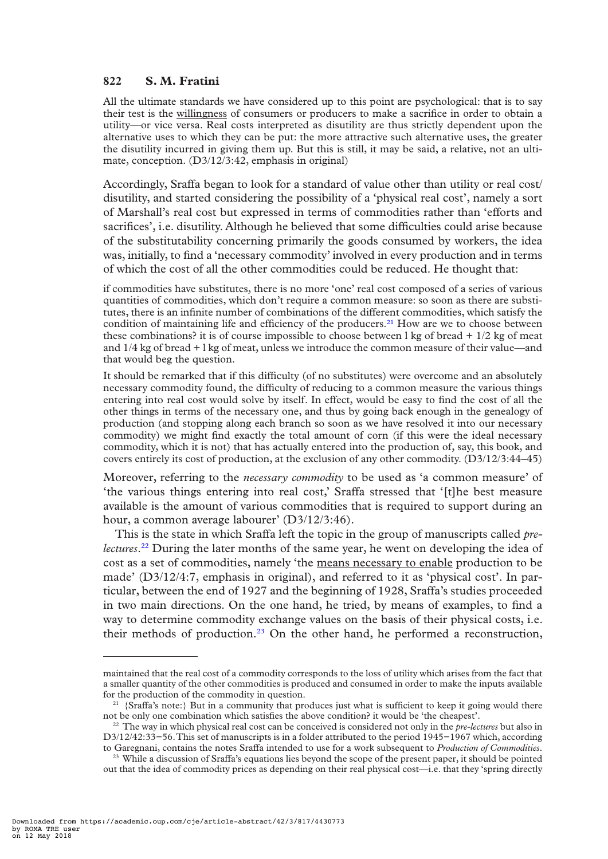All the ultimate standards we have considered up to this point are psychological: that is to say their test is the willingness of consumers or producers to make a sacrifice in order to obtain a utility—or vice versa. Real costs interpreted as disutility are thus strictly dependent upon the alternative uses to which they can be put: the more attractive such alternative uses, the greater the disutility incurred in giving them up. But this is still, it may be said, a relative, not an ultimate, conception. (D3/12/3:42, emphasis in original)

Accordingly, Sraffa began to look for a standard of value other than utility or real cost/ disutility, and started considering the possibility of a 'physical real cost', namely a sort of Marshall's real cost but expressed in terms of commodities rather than 'efforts and sacrifices', i.e. disutility. Although he believed that some difficulties could arise because of the substitutability concerning primarily the goods consumed by workers, the idea was, initially, to find a 'necessary commodity' involved in every production and in terms of which the cost of all the other commodities could be reduced. He thought that:

if commodities have substitutes, there is no more 'one' real cost composed of a series of various quantities of commodities, which don't require a common measure: so soon as there are substitutes, there is an infinite number of combinations of the different commodities, which satisfy the condition of maintaining life and efficiency of the producers.<sup>21</sup> How are we to choose between these combinations? it is of course impossible to choose between  $\log \theta$  bread +  $1/2$  kg of meat and 1/4 kg of bread + l kg of meat, unless we introduce the common measure of their value—and that would beg the question.

It should be remarked that if this difficulty (of no substitutes) were overcome and an absolutely necessary commodity found, the difficulty of reducing to a common measure the various things entering into real cost would solve by itself. In effect, would be easy to find the cost of all the other things in terms of the necessary one, and thus by going back enough in the genealogy of production (and stopping along each branch so soon as we have resolved it into our necessary commodity) we might find exactly the total amount of corn (if this were the ideal necessary commodity, which it is not) that has actually entered into the production of, say, this book, and covers entirely its cost of production, at the exclusion of any other commodity. (D3/12/3:44–45)

Moreover, referring to the *necessary commodity* to be used as 'a common measure' of 'the various things entering into real cost,' Sraffa stressed that '[t]he best measure available is the amount of various commodities that is required to support during an hour, a common average labourer' (D3/12/3:46).

This is the state in which Sraffa left the topic in the group of manuscripts called *prelectures*. 22 During the later months of the same year, he went on developing the idea of cost as a set of commodities, namely 'the means necessary to enable production to be made' (D3/12/4:7, emphasis in original), and referred to it as 'physical cost'. In particular, between the end of 1927 and the beginning of 1928, Sraffa's studies proceeded in two main directions. On the one hand, he tried, by means of examples, to find a way to determine commodity exchange values on the basis of their physical costs, i.e. their methods of production.<sup>23</sup> On the other hand, he performed a reconstruction,

maintained that the real cost of a commodity corresponds to the loss of utility which arises from the fact that a smaller quantity of the other commodities is produced and consumed in order to make the inputs available for the production of the commodity in question.

<sup>&</sup>lt;sup>21</sup> {Sraffa's note:} But in a community that produces just what is sufficient to keep it going would there not be only one combination which satisfies the above condition? it would be 'the cheapest'.

<sup>22</sup> The way in which physical real cost can be conceived is considered not only in the *pre-lectures* but also in D3/12/42:33−56. This set of manuscripts is in a folder attributed to the period 1945−1967 which, according to Garegnani, contains the notes Sraffa intended to use for a work subsequent to *Production of Commodities*.

<sup>&</sup>lt;sup>23</sup> While a discussion of Sraffa's equations lies beyond the scope of the present paper, it should be pointed out that the idea of commodity prices as depending on their real physical cost—i.e. that they 'spring directly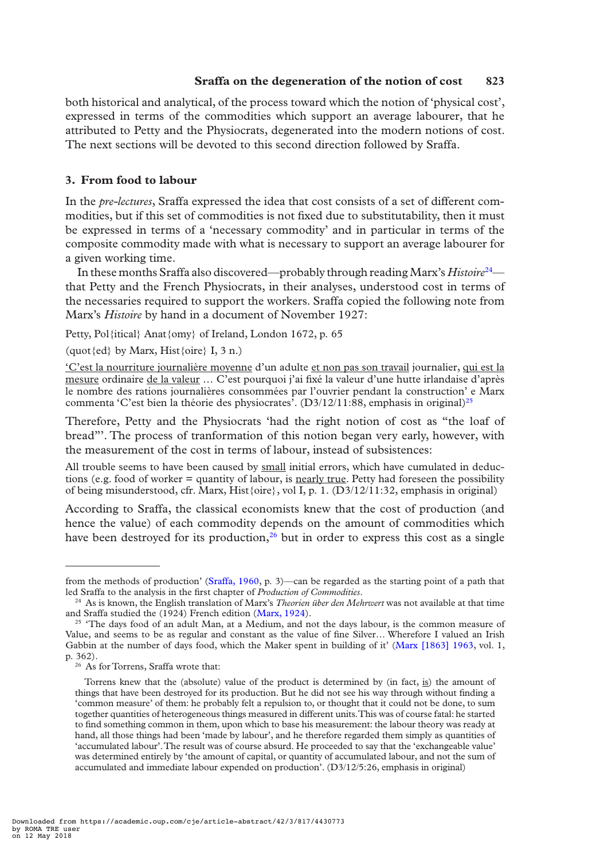both historical and analytical, of the process toward which the notion of 'physical cost', expressed in terms of the commodities which support an average labourer, that he attributed to Petty and the Physiocrats, degenerated into the modern notions of cost. The next sections will be devoted to this second direction followed by Sraffa.

# **3. From food to labour**

In the *pre-lectures*, Sraffa expressed the idea that cost consists of a set of different commodities, but if this set of commodities is not fixed due to substitutability, then it must be expressed in terms of a 'necessary commodity' and in particular in terms of the composite commodity made with what is necessary to support an average labourer for a given working time.

In these months Sraffa also discovered—probably through reading Marx's *Histoire*24 that Petty and the French Physiocrats, in their analyses, understood cost in terms of the necessaries required to support the workers. Sraffa copied the following note from Marx's *Histoire* by hand in a document of November 1927:

Petty, Pol{itical} Anat{omy} of Ireland, London 1672, p. 65

(quot $\{ed\}$  by Marx, Hist $\{oire\}$  I, 3 n.)

'C'est la nourriture journalière moyenne d'un adulte et non pas son travail journalier, qui est la mesure ordinaire de la valeur ... C'est pourquoi j'ai fixé la valeur d'une hutte irlandaise d'après le nombre des rations journalières consommées par l'ouvrier pendant la construction' e Marx commenta 'C'est bien la théorie des physiocrates'.  $(D3/12/11:88$ , emphasis in original)<sup>25</sup>

Therefore, Petty and the Physiocrats 'had the right notion of cost as "the loaf of bread"'. The process of tranformation of this notion began very early, however, with the measurement of the cost in terms of labour, instead of subsistences:

All trouble seems to have been caused by small initial errors, which have cumulated in deductions (e.g. food of worker = quantity of labour, is nearly true. Petty had foreseen the possibility of being misunderstood, cfr. Marx, Hist{oire}, vol I, p. 1. (D3/12/11:32, emphasis in original)

According to Sraffa, the classical economists knew that the cost of production (and hence the value) of each commodity depends on the amount of commodities which have been destroyed for its production, $26$  but in order to express this cost as a single

from the methods of production' (Sraffa, 1960, p. 3)—can be regarded as the starting point of a path that led Sraffa to the analysis in the first chapter of *Production of Commodities*.

<sup>24</sup> As is known, the English translation of Marx's *Theorien über den Mehrwert* was not available at that time and Sraffa studied the (1924) French edition (Marx, 1924).

 $25$  'The days food of an adult Man, at a Medium, and not the days labour, is the common measure of Value, and seems to be as regular and constant as the value of fine Silver... Wherefore I valued an Irish Gabbin at the number of days food, which the Maker spent in building of it' (Marx [1863] 1963, vol. 1, p. 362).

<sup>&</sup>lt;sup>26</sup> As for Torrens, Sraffa wrote that:

Torrens knew that the (absolute) value of the product is determined by (in fact, is) the amount of things that have been destroyed for its production. But he did not see his way through without finding a 'common measure' of them: he probably felt a repulsion to, or thought that it could not be done, to sum together quantities of heterogeneous things measured in different units. This was of course fatal: he started to "nd something common in them, upon which to base his measurement: the labour theory was ready at hand, all those things had been 'made by labour', and he therefore regarded them simply as quantities of 'accumulated labour'. The result was of course absurd. He proceeded to say that the 'exchangeable value' was determined entirely by 'the amount of capital, or quantity of accumulated labour, and not the sum of accumulated and immediate labour expended on production'. (D3/12/5:26, emphasis in original)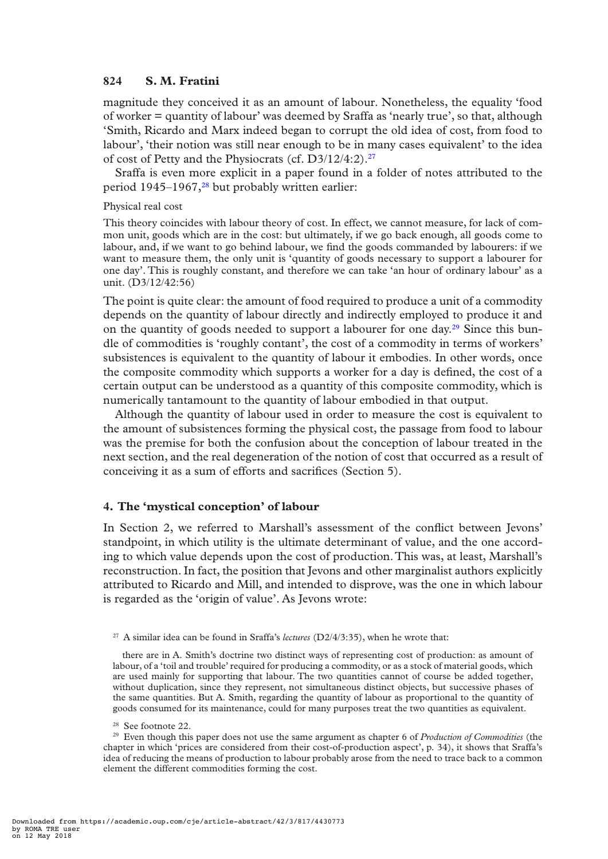magnitude they conceived it as an amount of labour. Nonetheless, the equality 'food of worker = quantity of labour' was deemed by Sraffa as 'nearly true', so that, although 'Smith, Ricardo and Marx indeed began to corrupt the old idea of cost, from food to labour', 'their notion was still near enough to be in many cases equivalent' to the idea of cost of Petty and the Physiocrats (cf. D3/12/4:2).<sup>27</sup>

Sraffa is even more explicit in a paper found in a folder of notes attributed to the period 1945–1967, $^{28}$  but probably written earlier:

### Physical real cost

This theory coincides with labour theory of cost. In effect, we cannot measure, for lack of common unit, goods which are in the cost: but ultimately, if we go back enough, all goods come to labour, and, if we want to go behind labour, we find the goods commanded by labourers: if we want to measure them, the only unit is 'quantity of goods necessary to support a labourer for one day'. This is roughly constant, and therefore we can take 'an hour of ordinary labour' as a unit. (D3/12/42:56)

The point is quite clear: the amount of food required to produce a unit of a commodity depends on the quantity of labour directly and indirectly employed to produce it and on the quantity of goods needed to support a labourer for one day.29 Since this bundle of commodities is 'roughly contant', the cost of a commodity in terms of workers' subsistences is equivalent to the quantity of labour it embodies. In other words, once the composite commodity which supports a worker for a day is defined, the cost of a certain output can be understood as a quantity of this composite commodity, which is numerically tantamount to the quantity of labour embodied in that output.

Although the quantity of labour used in order to measure the cost is equivalent to the amount of subsistences forming the physical cost, the passage from food to labour was the premise for both the confusion about the conception of labour treated in the next section, and the real degeneration of the notion of cost that occurred as a result of conceiving it as a sum of efforts and sacrifices (Section 5).

## **4. The 'mystical conception' of labour**

In Section 2, we referred to Marshall's assessment of the conflict between Jevons' standpoint, in which utility is the ultimate determinant of value, and the one according to which value depends upon the cost of production. This was, at least, Marshall's reconstruction. In fact, the position that Jevons and other marginalist authors explicitly attributed to Ricardo and Mill, and intended to disprove, was the one in which labour is regarded as the 'origin of value'. As Jevons wrote:

<sup>27</sup> A similar idea can be found in Sraffa's *lectures* (D2/4/3:35), when he wrote that:

there are in A. Smith's doctrine two distinct ways of representing cost of production: as amount of labour, of a 'toil and trouble' required for producing a commodity, or as a stock of material goods, which are used mainly for supporting that labour. The two quantities cannot of course be added together, without duplication, since they represent, not simultaneous distinct objects, but successive phases of the same quantities. But A. Smith, regarding the quantity of labour as proportional to the quantity of goods consumed for its maintenance, could for many purposes treat the two quantities as equivalent.

<sup>28</sup> See footnote 22.

<sup>29</sup> Even though this paper does not use the same argument as chapter 6 of *Production of Commodities* (the chapter in which 'prices are considered from their cost-of-production aspect', p. 34), it shows that Sraffa's idea of reducing the means of production to labour probably arose from the need to trace back to a common element the different commodities forming the cost.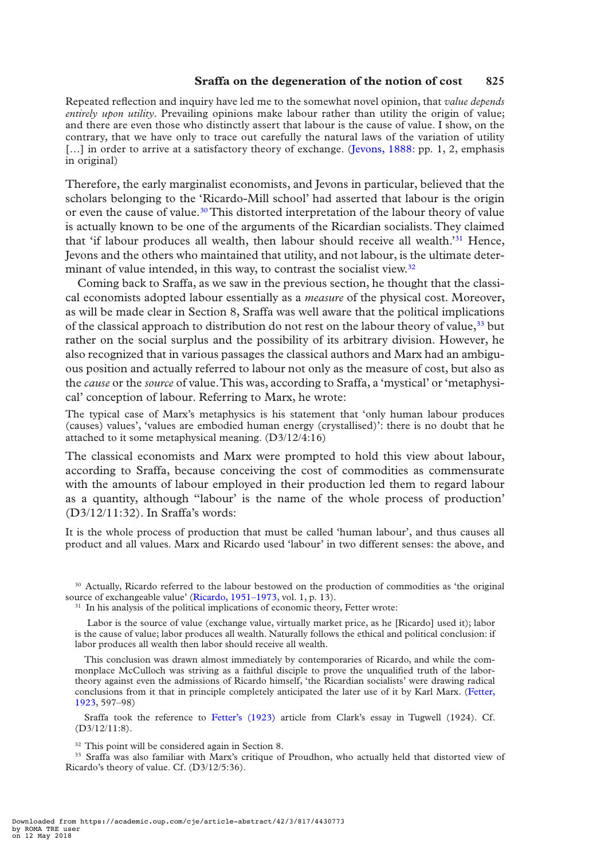Repeated reflection and inquiry have led me to the somewhat novel opinion, that *value depends entirely upon utility*. Prevailing opinions make labour rather than utility the origin of value; and there are even those who distinctly assert that labour is the cause of value. I show, on the contrary, that we have only to trace out carefully the natural laws of the variation of utility [...] in order to arrive at a satisfactory theory of exchange. (Jevons, 1888: pp. 1, 2, emphasis in original)

Therefore, the early marginalist economists, and Jevons in particular, believed that the scholars belonging to the 'Ricardo-Mill school' had asserted that labour is the origin or even the cause of value.<sup>30</sup> This distorted interpretation of the labour theory of value is actually known to be one of the arguments of the Ricardian socialists. They claimed that 'if labour produces all wealth, then labour should receive all wealth.'31 Hence, Jevons and the others who maintained that utility, and not labour, is the ultimate determinant of value intended, in this way, to contrast the socialist view. $32$ 

Coming back to Sraffa, as we saw in the previous section, he thought that the classical economists adopted labour essentially as a *measure* of the physical cost. Moreover, as will be made clear in Section 8, Sraffa was well aware that the political implications of the classical approach to distribution do not rest on the labour theory of value,  $33$  but rather on the social surplus and the possibility of its arbitrary division. However, he also recognized that in various passages the classical authors and Marx had an ambiguous position and actually referred to labour not only as the measure of cost, but also as the *cause* or the *source* of value. This was, according to Sraffa, a 'mystical' or 'metaphysical' conception of labour. Referring to Marx, he wrote:

The typical case of Marx's metaphysics is his statement that 'only human labour produces (causes) values', 'values are embodied human energy (crystallised)': there is no doubt that he attached to it some metaphysical meaning. (D3/12/4:16)

The classical economists and Marx were prompted to hold this view about labour, according to Sraffa, because conceiving the cost of commodities as commensurate with the amounts of labour employed in their production led them to regard labour as a quantity, although ''labour' is the name of the whole process of production' (D3/12/11:32). In Sraffa's words:

It is the whole process of production that must be called 'human labour', and thus causes all product and all values. Marx and Ricardo used 'labour' in two different senses: the above, and

<sup>30</sup> Actually, Ricardo referred to the labour bestowed on the production of commodities as 'the original source of exchangeable value' (Ricardo, 1951–1973, vol. 1, p. 13).

<sup>31</sup> In his analysis of the political implications of economic theory, Fetter wrote:

 Labor is the source of value (exchange value, virtually market price, as he [Ricardo] used it); labor is the cause of value; labor produces all wealth. Naturally follows the ethical and political conclusion: if labor produces all wealth then labor should receive all wealth.

This conclusion was drawn almost immediately by contemporaries of Ricardo, and while the commonplace McCulloch was striving as a faithful disciple to prove the unqualified truth of the labortheory against even the admissions of Ricardo himself, 'the Ricardian socialists' were drawing radical conclusions from it that in principle completely anticipated the later use of it by Karl Marx. (Fetter, 1923, 597–98)

Sraffa took the reference to Fetter's (1923) article from Clark's essay in Tugwell (1924). Cf. (D3/12/11:8).

<sup>32</sup> This point will be considered again in Section 8.

<sup>33</sup> Sraffa was also familiar with Marx's critique of Proudhon, who actually held that distorted view of Ricardo's theory of value. Cf. (D3/12/5:36).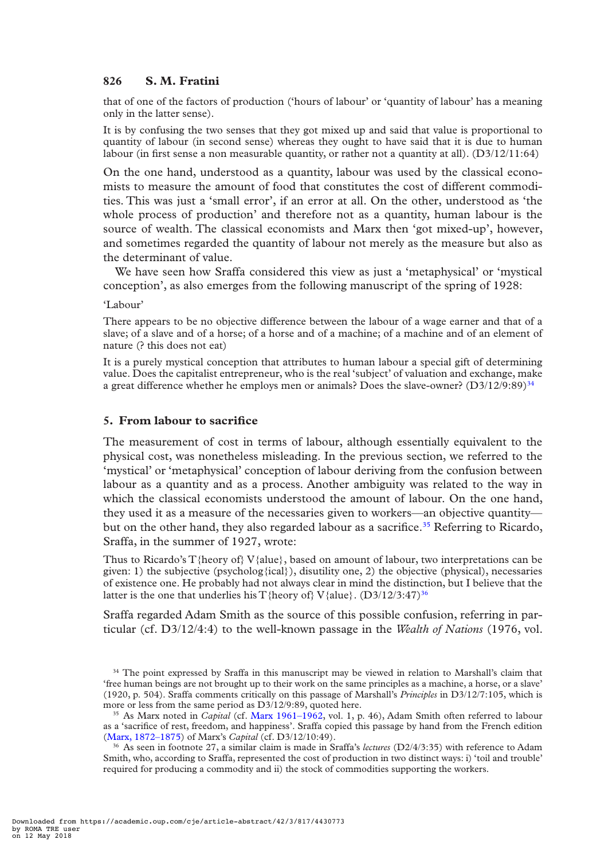that of one of the factors of production ('hours of labour' or 'quantity of labour' has a meaning only in the latter sense).

It is by confusing the two senses that they got mixed up and said that value is proportional to quantity of labour (in second sense) whereas they ought to have said that it is due to human labour (in first sense a non measurable quantity, or rather not a quantity at all).  $(D3/12/11:64)$ 

On the one hand, understood as a quantity, labour was used by the classical economists to measure the amount of food that constitutes the cost of different commodities. This was just a 'small error', if an error at all. On the other, understood as 'the whole process of production' and therefore not as a quantity, human labour is the source of wealth. The classical economists and Marx then 'got mixed-up', however, and sometimes regarded the quantity of labour not merely as the measure but also as the determinant of value.

We have seen how Sraffa considered this view as just a 'metaphysical' or 'mystical conception', as also emerges from the following manuscript of the spring of 1928:

#### 'Labour'

There appears to be no objective difference between the labour of a wage earner and that of a slave; of a slave and of a horse; of a horse and of a machine; of a machine and of an element of nature (? this does not eat)

It is a purely mystical conception that attributes to human labour a special gift of determining value. Does the capitalist entrepreneur, who is the real 'subject' of valuation and exchange, make a great difference whether he employs men or animals? Does the slave-owner?  $(D3/12/9:89)^{34}$ 

#### **5. From labour to sacri"ce**

The measurement of cost in terms of labour, although essentially equivalent to the physical cost, was nonetheless misleading. In the previous section, we referred to the 'mystical' or 'metaphysical' conception of labour deriving from the confusion between labour as a quantity and as a process. Another ambiguity was related to the way in which the classical economists understood the amount of labour. On the one hand, they used it as a measure of the necessaries given to workers—an objective quantity but on the other hand, they also regarded labour as a sacrifice.<sup>35</sup> Referring to Ricardo, Sraffa, in the summer of 1927, wrote:

Thus to Ricardo's T{heory of} V{alue}, based on amount of labour, two interpretations can be given: 1) the subjective (psycholog{ical}), disutility one, 2) the objective (physical), necessaries of existence one. He probably had not always clear in mind the distinction, but I believe that the latter is the one that underlies his T{heory of} V{alue}. (D3/12/3:47)<sup>36</sup>

Sraffa regarded Adam Smith as the source of this possible confusion, referring in particular (cf. D3/12/4:4) to the well-known passage in the *Wealth of Nations* (1976, vol.

<sup>&</sup>lt;sup>34</sup> The point expressed by Sraffa in this manuscript may be viewed in relation to Marshall's claim that 'free human beings are not brought up to their work on the same principles as a machine, a horse, or a slave' (1920, p. 504). Sraffa comments critically on this passage of Marshall's *Principles* in D3/12/7:105, which is more or less from the same period as D3/12/9:89, quoted here.

<sup>35</sup> As Marx noted in *Capital* (cf. Marx 1961–1962, vol. 1, p. 46), Adam Smith often referred to labour as a 'sacrifice of rest, freedom, and happiness'. Sraffa copied this passage by hand from the French edition (Marx, 1872–1875) of Marx's *Capital* (cf. D3/12/10:49).

<sup>36</sup> As seen in footnote 27, a similar claim is made in Sraffa's *lectures* (D2/4/3:35) with reference to Adam Smith, who, according to Sraffa, represented the cost of production in two distinct ways: i) 'toil and trouble' required for producing a commodity and ii) the stock of commodities supporting the workers.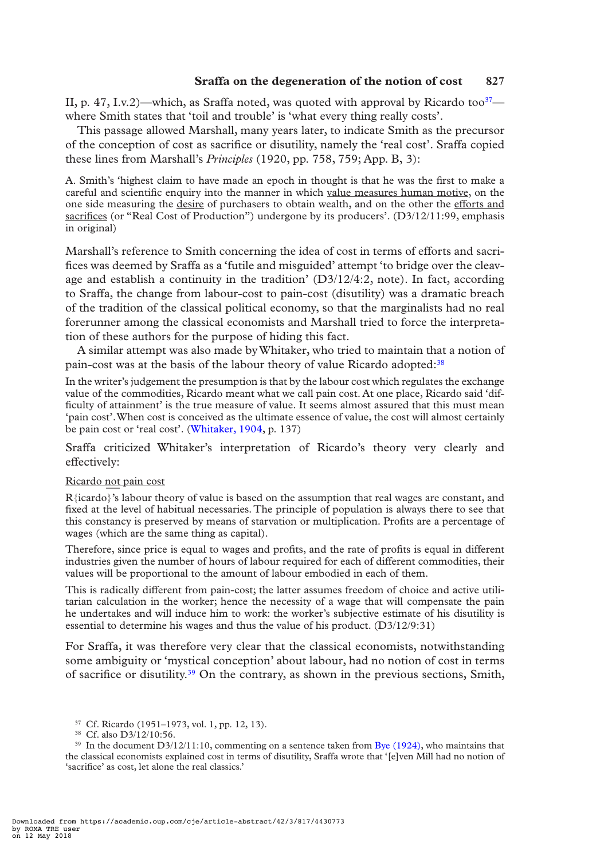II, p. 47, I.v.2)—which, as Sraffa noted, was quoted with approval by Ricardo too $37$  where Smith states that 'toil and trouble' is 'what every thing really costs'.

This passage allowed Marshall, many years later, to indicate Smith as the precursor of the conception of cost as sacrifice or disutility, namely the 'real cost'. Sraffa copied these lines from Marshall's *Principles* (1920, pp. 758, 759; App. B, 3):

A. Smith's 'highest claim to have made an epoch in thought is that he was the first to make a careful and scientific enquiry into the manner in which value measures human motive, on the one side measuring the desire of purchasers to obtain wealth, and on the other the efforts and sacrifices (or "Real Cost of Production") undergone by its producers'. (D3/12/11:99, emphasis in original)

Marshall's reference to Smith concerning the idea of cost in terms of efforts and sacri fices was deemed by Sraffa as a 'futile and misguided' attempt 'to bridge over the cleavage and establish a continuity in the tradition' (D3/12/4:2, note). In fact, according to Sraffa, the change from labour-cost to pain-cost (disutility) was a dramatic breach of the tradition of the classical political economy, so that the marginalists had no real forerunner among the classical economists and Marshall tried to force the interpretation of these authors for the purpose of hiding this fact.

A similar attempt was also made by Whitaker, who tried to maintain that a notion of pain-cost was at the basis of the labour theory of value Ricardo adopted:<sup>38</sup>

In the writer's judgement the presumption is that by the labour cost which regulates the exchange value of the commodities, Ricardo meant what we call pain cost. At one place, Ricardo said 'dif ficulty of attainment' is the true measure of value. It seems almost assured that this must mean 'pain cost'. When cost is conceived as the ultimate essence of value, the cost will almost certainly be pain cost or 'real cost'. (Whitaker, 1904, p. 137)

Sraffa criticized Whitaker's interpretation of Ricardo's theory very clearly and effectively:

#### Ricardo not pain cost

R{icardo}'s labour theory of value is based on the assumption that real wages are constant, and fixed at the level of habitual necessaries. The principle of population is always there to see that this constancy is preserved by means of starvation or multiplication. Profits are a percentage of wages (which are the same thing as capital).

Therefore, since price is equal to wages and profits, and the rate of profits is equal in different industries given the number of hours of labour required for each of different commodities, their values will be proportional to the amount of labour embodied in each of them.

This is radically different from pain-cost; the latter assumes freedom of choice and active utilitarian calculation in the worker; hence the necessity of a wage that will compensate the pain he undertakes and will induce him to work: the worker's subjective estimate of his disutility is essential to determine his wages and thus the value of his product. (D3/12/9:31)

For Sraffa, it was therefore very clear that the classical economists, notwithstanding some ambiguity or 'mystical conception' about labour, had no notion of cost in terms of sacrifice or disutility.<sup>39</sup> On the contrary, as shown in the previous sections, Smith,

<sup>37</sup> Cf. Ricardo (1951–1973, vol. 1, pp. 12, 13).

<sup>38</sup> Cf. also D3/12/10:56.

<sup>&</sup>lt;sup>39</sup> In the document D3/12/11:10, commenting on a sentence taken from Bye (1924), who maintains that the classical economists explained cost in terms of disutility, Sraffa wrote that '[e]ven Mill had no notion of 'sacrifice' as cost, let alone the real classics.'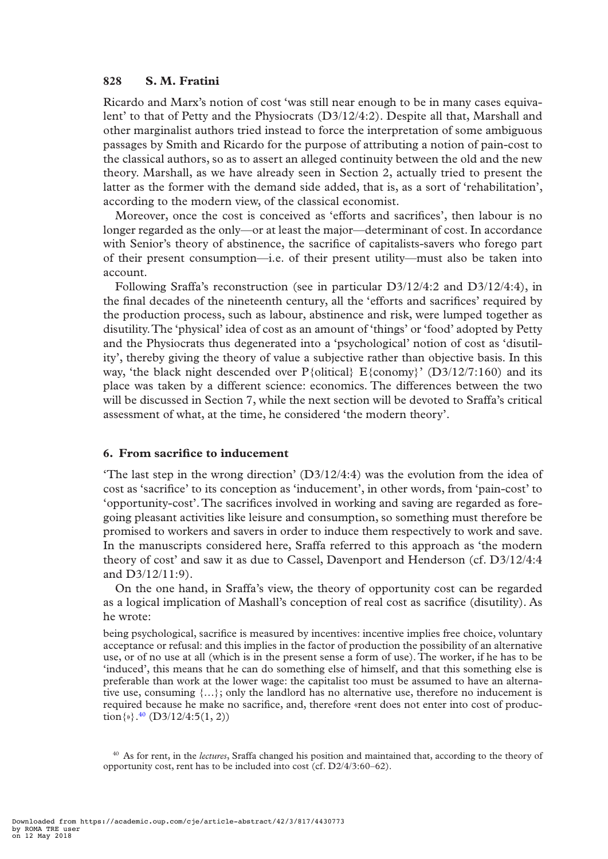Ricardo and Marx's notion of cost 'was still near enough to be in many cases equivalent' to that of Petty and the Physiocrats (D3/12/4:2). Despite all that, Marshall and other marginalist authors tried instead to force the interpretation of some ambiguous passages by Smith and Ricardo for the purpose of attributing a notion of pain-cost to the classical authors, so as to assert an alleged continuity between the old and the new theory. Marshall, as we have already seen in Section 2, actually tried to present the latter as the former with the demand side added, that is, as a sort of 'rehabilitation', according to the modern view, of the classical economist.

Moreover, once the cost is conceived as 'efforts and sacrifices', then labour is no longer regarded as the only—or at least the major—determinant of cost. In accordance with Senior's theory of abstinence, the sacrifice of capitalists-savers who forego part of their present consumption—i.e. of their present utility—must also be taken into account.

Following Sraffa's reconstruction (see in particular D3/12/4:2 and D3/12/4:4), in the final decades of the nineteenth century, all the 'efforts and sacrifices' required by the production process, such as labour, abstinence and risk, were lumped together as disutility. The 'physical' idea of cost as an amount of 'things' or 'food' adopted by Petty and the Physiocrats thus degenerated into a 'psychological' notion of cost as 'disutility', thereby giving the theory of value a subjective rather than objective basis. In this way, 'the black night descended over  $P\{\text{olritical}\}\ E\{\text{conomy}\}\$ ' (D3/12/7:160) and its place was taken by a different science: economics. The differences between the two will be discussed in Section 7, while the next section will be devoted to Sraffa's critical assessment of what, at the time, he considered 'the modern theory'.

#### **6. From sacri"ce to inducement**

The last step in the wrong direction'  $(D3/12/4:4)$  was the evolution from the idea of cost as 'sacrifice' to its conception as 'inducement', in other words, from 'pain-cost' to 'opportunity-cost'. The sacrifices involved in working and saving are regarded as foregoing pleasant activities like leisure and consumption, so something must therefore be promised to workers and savers in order to induce them respectively to work and save. In the manuscripts considered here, Sraffa referred to this approach as 'the modern theory of cost' and saw it as due to Cassel, Davenport and Henderson (cf. D3/12/4:4 and D3/12/11:9).

On the one hand, in Sraffa's view, the theory of opportunity cost can be regarded as a logical implication of Mashall's conception of real cost as sacrifice (disutility). As he wrote:

being psychological, sacrifice is measured by incentives: incentive implies free choice, voluntary acceptance or refusal: and this implies in the factor of production the possibility of an alternative use, or of no use at all (which is in the present sense a form of use). The worker, if he has to be 'induced', this means that he can do something else of himself, and that this something else is preferable than work at the lower wage: the capitalist too must be assumed to have an alternative use, consuming  $\{...\}$ ; only the landlord has no alternative use, therefore no inducement is required because he make no sacrifice, and, therefore «rent does not enter into cost of production  $\{ \mathcal{P} \}$ .  $\{40}$  (D3/12/4:5(1, 2))

<sup>40</sup> As for rent, in the *lectures*, Sraffa changed his position and maintained that, according to the theory of opportunity cost, rent has to be included into cost (cf. D2/4/3:60–62).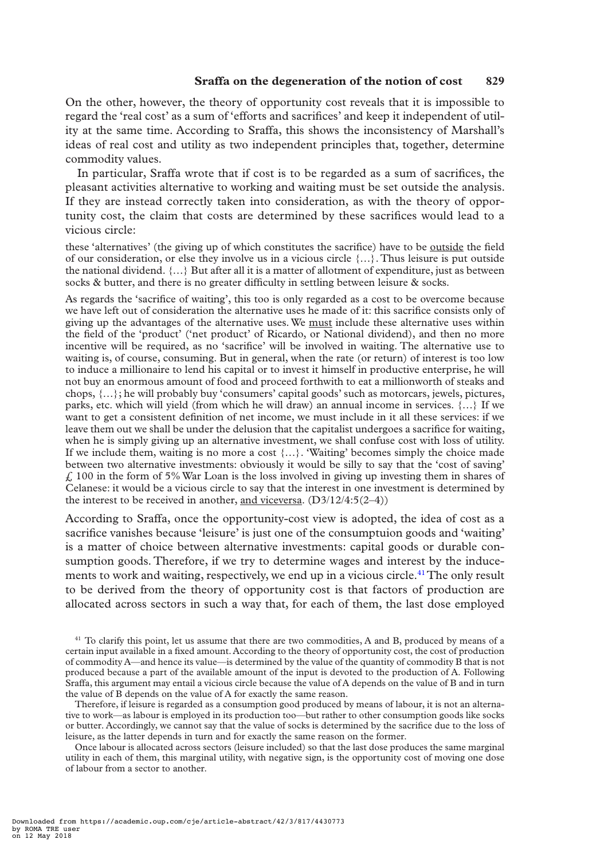On the other, however, the theory of opportunity cost reveals that it is impossible to regard the 'real cost' as a sum of 'efforts and sacrifices' and keep it independent of utility at the same time. According to Sraffa, this shows the inconsistency of Marshall's ideas of real cost and utility as two independent principles that, together, determine commodity values.

In particular, Sraffa wrote that if cost is to be regarded as a sum of sacrifices, the pleasant activities alternative to working and waiting must be set outside the analysis. If they are instead correctly taken into consideration, as with the theory of opportunity cost, the claim that costs are determined by these sacrifices would lead to a vicious circle:

these 'alternatives' (the giving up of which constitutes the sacrifice) have to be outside the field of our consideration, or else they involve us in a vicious circle  $\{...\}$ . Thus leisure is put outside the national dividend. {…} But after all it is a matter of allotment of expenditure, just as between socks  $\&$  butter, and there is no greater difficulty in settling between leisure  $\&$  socks.

As regards the 'sacrifice of waiting', this too is only regarded as a cost to be overcome because we have left out of consideration the alternative uses he made of it: this sacrifice consists only of giving up the advantages of the alternative uses. We must include these alternative uses within the field of the 'product' ('net product' of Ricardo, or National dividend), and then no more incentive will be required, as no 'sacrifice' will be involved in waiting. The alternative use to waiting is, of course, consuming. But in general, when the rate (or return) of interest is too low to induce a millionaire to lend his capital or to invest it himself in productive enterprise, he will not buy an enormous amount of food and proceed forthwith to eat a millionworth of steaks and chops, {…}; he will probably buy 'consumers' capital goods' such as motorcars, jewels, pictures, parks, etc. which will yield (from which he will draw) an annual income in services. {…} If we want to get a consistent definition of net income, we must include in it all these services: if we leave them out we shall be under the delusion that the capitalist undergoes a sacrifice for waiting, when he is simply giving up an alternative investment, we shall confuse cost with loss of utility. If we include them, waiting is no more a cost {…}. 'Waiting' becomes simply the choice made between two alternative investments: obviously it would be silly to say that the 'cost of saving'  $\hat{f}$ , 100 in the form of 5% War Loan is the loss involved in giving up investing them in shares of Celanese: it would be a vicious circle to say that the interest in one investment is determined by the interest to be received in another, and viceversa.  $(D3/12/4:5(2-4))$ 

According to Sraffa, once the opportunity-cost view is adopted, the idea of cost as a sacrifice vanishes because 'leisure' is just one of the consumptuion goods and 'waiting' is a matter of choice between alternative investments: capital goods or durable consumption goods. Therefore, if we try to determine wages and interest by the inducements to work and waiting, respectively, we end up in a vicious circle.41 The only result to be derived from the theory of opportunity cost is that factors of production are allocated across sectors in such a way that, for each of them, the last dose employed

Therefore, if leisure is regarded as a consumption good produced by means of labour, it is not an alternative to work—as labour is employed in its production too—but rather to other consumption goods like socks or butter. Accordingly, we cannot say that the value of socks is determined by the sacrifice due to the loss of leisure, as the latter depends in turn and for exactly the same reason on the former.

Once labour is allocated across sectors (leisure included) so that the last dose produces the same marginal utility in each of them, this marginal utility, with negative sign, is the opportunity cost of moving one dose of labour from a sector to another.

<sup>&</sup>lt;sup>41</sup> To clarify this point, let us assume that there are two commodities, A and B, produced by means of a certain input available in a fixed amount. According to the theory of opportunity cost, the cost of production of commodity A—and hence its value—is determined by the value of the quantity of commodity B that is not produced because a part of the available amount of the input is devoted to the production of A. Following Sraffa, this argument may entail a vicious circle because the value of A depends on the value of B and in turn the value of B depends on the value of A for exactly the same reason.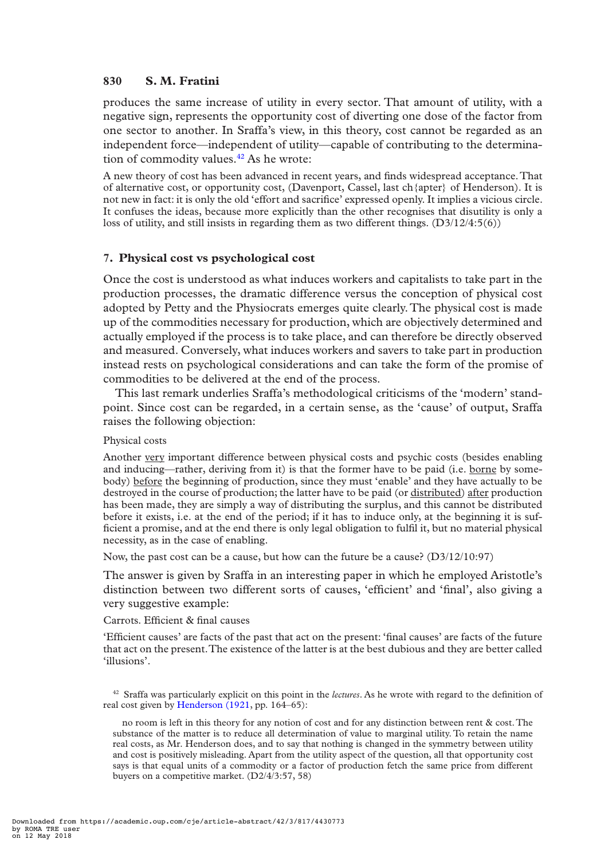produces the same increase of utility in every sector. That amount of utility, with a negative sign, represents the opportunity cost of diverting one dose of the factor from one sector to another. In Sraffa's view, in this theory, cost cannot be regarded as an independent force—independent of utility—capable of contributing to the determination of commodity values.<sup>42</sup> As he wrote:

A new theory of cost has been advanced in recent years, and finds widespread acceptance. That of alternative cost, or opportunity cost, (Davenport, Cassel, last ch{apter} of Henderson). It is not new in fact: it is only the old 'effort and sacrifice' expressed openly. It implies a vicious circle. It confuses the ideas, because more explicitly than the other recognises that disutility is only a loss of utility, and still insists in regarding them as two different things.  $(D3/12/4:5(6))$ 

#### **7. Physical cost vs psychological cost**

Once the cost is understood as what induces workers and capitalists to take part in the production processes, the dramatic difference versus the conception of physical cost adopted by Petty and the Physiocrats emerges quite clearly. The physical cost is made up of the commodities necessary for production, which are objectively determined and actually employed if the process is to take place, and can therefore be directly observed and measured. Conversely, what induces workers and savers to take part in production instead rests on psychological considerations and can take the form of the promise of commodities to be delivered at the end of the process.

This last remark underlies Sraffa's methodological criticisms of the 'modern' standpoint. Since cost can be regarded, in a certain sense, as the 'cause' of output, Sraffa raises the following objection:

#### Physical costs

Another very important difference between physical costs and psychic costs (besides enabling and inducing—rather, deriving from it) is that the former have to be paid (i.e. borne by somebody) before the beginning of production, since they must 'enable' and they have actually to be destroyed in the course of production; the latter have to be paid (or distributed) after production has been made, they are simply a way of distributing the surplus, and this cannot be distributed before it exists, i.e. at the end of the period; if it has to induce only, at the beginning it is suf ficient a promise, and at the end there is only legal obligation to fulfil it, but no material physical necessity, as in the case of enabling.

Now, the past cost can be a cause, but how can the future be a cause? (D3/12/10:97)

The answer is given by Sraffa in an interesting paper in which he employed Aristotle's distinction between two different sorts of causes, 'efficient' and 'final', also giving a very suggestive example:

#### Carrots. Efficient & final causes

'Efficient causes' are facts of the past that act on the present: 'final causes' are facts of the future that act on the present. The existence of the latter is at the best dubious and they are better called 'illusions'.

<sup>42</sup> Sraffa was particularly explicit on this point in the *lectures*. As he wrote with regard to the definition of real cost given by Henderson (1921, pp. 164–65):

no room is left in this theory for any notion of cost and for any distinction between rent & cost. The substance of the matter is to reduce all determination of value to marginal utility. To retain the name real costs, as Mr. Henderson does, and to say that nothing is changed in the symmetry between utility and cost is positively misleading. Apart from the utility aspect of the question, all that opportunity cost says is that equal units of a commodity or a factor of production fetch the same price from different buyers on a competitive market. (D2/4/3:57, 58)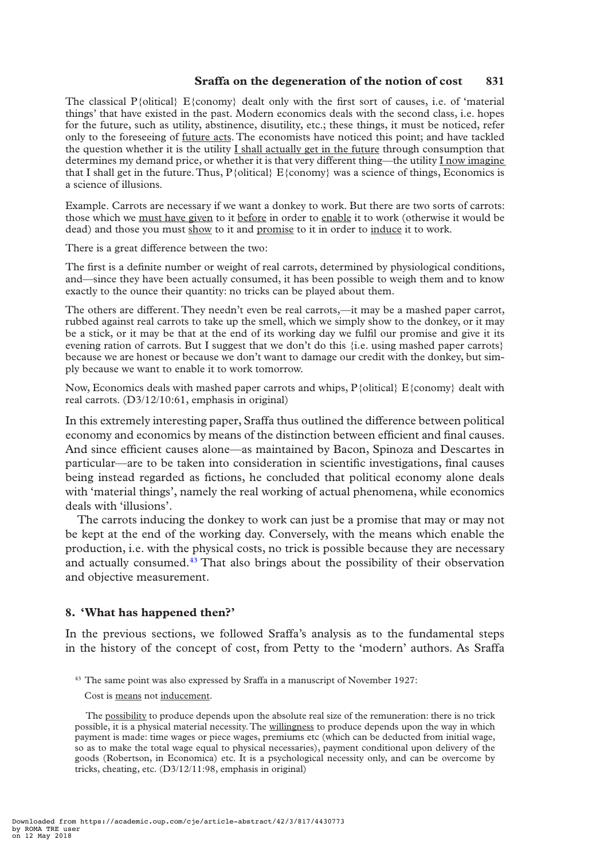The classical P{olitical} E{conomy} dealt only with the first sort of causes, i.e. of 'material things' that have existed in the past. Modern economics deals with the second class, i.e. hopes for the future, such as utility, abstinence, disutility, etc.; these things, it must be noticed, refer only to the foreseeing of future acts. The economists have noticed this point; and have tackled the question whether it is the utility I shall actually get in the future through consumption that determines my demand price, or whether it is that very different thing—the utility I now imagine that I shall get in the future. Thus,  $P\{\text{olritical}\}\ E\{\text{conomy}\}\$  was a science of things, Economics is a science of illusions.

Example. Carrots are necessary if we want a donkey to work. But there are two sorts of carrots: those which we must have given to it before in order to enable it to work (otherwise it would be dead) and those you must show to it and promise to it in order to induce it to work.

There is a great difference between the two:

The first is a definite number or weight of real carrots, determined by physiological conditions, and—since they have been actually consumed, it has been possible to weigh them and to know exactly to the ounce their quantity: no tricks can be played about them.

The others are different. They needn't even be real carrots,—it may be a mashed paper carrot, rubbed against real carrots to take up the smell, which we simply show to the donkey, or it may be a stick, or it may be that at the end of its working day we fulfil our promise and give it its evening ration of carrots. But I suggest that we don't do this {i.e. using mashed paper carrots} because we are honest or because we don't want to damage our credit with the donkey, but simply because we want to enable it to work tomorrow.

Now, Economics deals with mashed paper carrots and whips,  $P\{\text{olritical}\}\ E\{\text{conom}v\}$  dealt with real carrots. (D3/12/10:61, emphasis in original)

In this extremely interesting paper, Sraffa thus outlined the difference between political economy and economics by means of the distinction between efficient and final causes. And since efficient causes alone—as maintained by Bacon, Spinoza and Descartes in particular—are to be taken into consideration in scientific investigations, final causes being instead regarded as fictions, he concluded that political economy alone deals with 'material things', namely the real working of actual phenomena, while economics deals with 'illusions'.

The carrots inducing the donkey to work can just be a promise that may or may not be kept at the end of the working day. Conversely, with the means which enable the production, i.e. with the physical costs, no trick is possible because they are necessary and actually consumed.43 That also brings about the possibility of their observation and objective measurement.

## **8. 'What has happened then?'**

In the previous sections, we followed Sraffa's analysis as to the fundamental steps in the history of the concept of cost, from Petty to the 'modern' authors. As Sraffa

<sup>&</sup>lt;sup>43</sup> The same point was also expressed by Sraffa in a manuscript of November 1927:

Cost is means not inducement.

The possibility to produce depends upon the absolute real size of the remuneration: there is no trick possible, it is a physical material necessity. The willingness to produce depends upon the way in which payment is made: time wages or piece wages, premiums etc (which can be deducted from initial wage, so as to make the total wage equal to physical necessaries), payment conditional upon delivery of the goods (Robertson, in Economica) etc. It is a psychological necessity only, and can be overcome by tricks, cheating, etc. (D3/12/11:98, emphasis in original)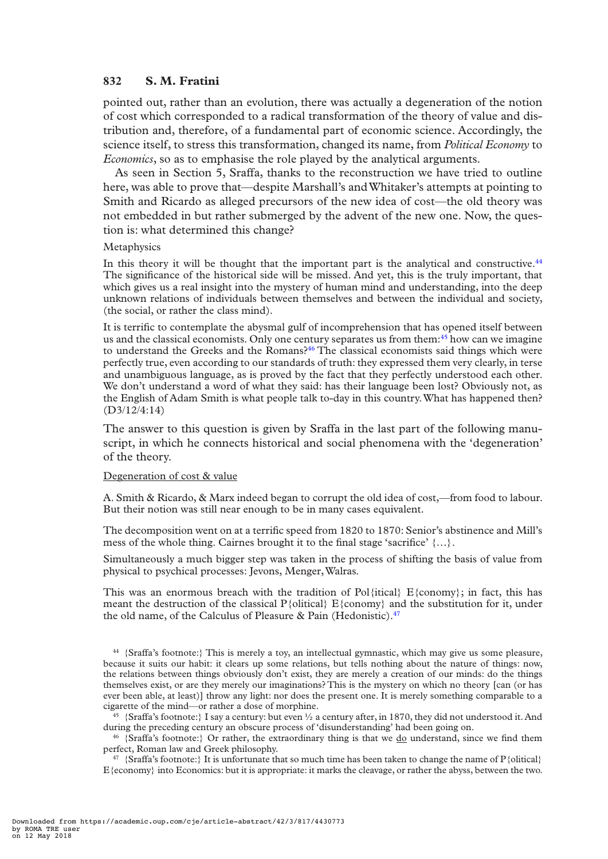pointed out, rather than an evolution, there was actually a degeneration of the notion of cost which corresponded to a radical transformation of the theory of value and distribution and, therefore, of a fundamental part of economic science. Accordingly, the science itself, to stress this transformation, changed its name, from *Political Economy* to *Economics*, so as to emphasise the role played by the analytical arguments.

As seen in Section 5, Sraffa, thanks to the reconstruction we have tried to outline here, was able to prove that—despite Marshall's and Whitaker's attempts at pointing to Smith and Ricardo as alleged precursors of the new idea of cost—the old theory was not embedded in but rather submerged by the advent of the new one. Now, the question is: what determined this change?

#### **Metaphysics**

In this theory it will be thought that the important part is the analytical and constructive.<sup>44</sup> The significance of the historical side will be missed. And yet, this is the truly important, that which gives us a real insight into the mystery of human mind and understanding, into the deep unknown relations of individuals between themselves and between the individual and society, (the social, or rather the class mind).

It is terrific to contemplate the abysmal gulf of incomprehension that has opened itself between us and the classical economists. Only one century separates us from them:<sup>45</sup> how can we imagine to understand the Greeks and the Romans?<sup>46</sup> The classical economists said things which were perfectly true, even according to our standards of truth: they expressed them very clearly, in terse and unambiguous language, as is proved by the fact that they perfectly understood each other. We don't understand a word of what they said: has their language been lost? Obviously not, as the English of Adam Smith is what people talk to-day in this country. What has happened then? (D3/12/4:14)

The answer to this question is given by Sraffa in the last part of the following manuscript, in which he connects historical and social phenomena with the 'degeneration' of the theory.

# Degeneration of cost & value

A. Smith & Ricardo, & Marx indeed began to corrupt the old idea of cost,—from food to labour. But their notion was still near enough to be in many cases equivalent.

The decomposition went on at a terrific speed from 1820 to 1870: Senior's abstinence and Mill's mess of the whole thing. Cairnes brought it to the final stage 'sacrifice'  $\{...\}$ .

Simultaneously a much bigger step was taken in the process of shifting the basis of value from physical to psychical processes: Jevons, Menger, Walras.

This was an enormous breach with the tradition of Pol{itical} E{conomy}; in fact, this has meant the destruction of the classical  $P\{\text{olritical}\}\ E\{\text{conom} \}$  and the substitution for it, under the old name, of the Calculus of Pleasure & Pain (Hedonistic).<sup>47</sup>

<sup>44</sup> {Sraffa's footnote:} This is merely a toy, an intellectual gymnastic, which may give us some pleasure, because it suits our habit: it clears up some relations, but tells nothing about the nature of things: now, the relations between things obviously don't exist, they are merely a creation of our minds: do the things themselves exist, or are they merely our imaginations? This is the mystery on which no theory [can (or has ever been able, at least)] throw any light: nor does the present one. It is merely something comparable to a cigarette of the mind—or rather a dose of morphine.

<sup>45</sup> {Sraffa's footnote:} I say a century: but even  $\frac{1}{2}$  a century after, in 1870, they did not understood it. And during the preceding century an obscure process of 'disunderstanding' had been going on.

 $46$  {Sraffa's footnote:} Or rather, the extraordinary thing is that we  $\underline{do}$  understand, since we find them perfect, Roman law and Greek philosophy.

<sup>47</sup> {Sraffa's footnote:} It is unfortunate that so much time has been taken to change the name of P{olitical}  $E$ {economy} into Economics: but it is appropriate: it marks the cleavage, or rather the abyss, between the two.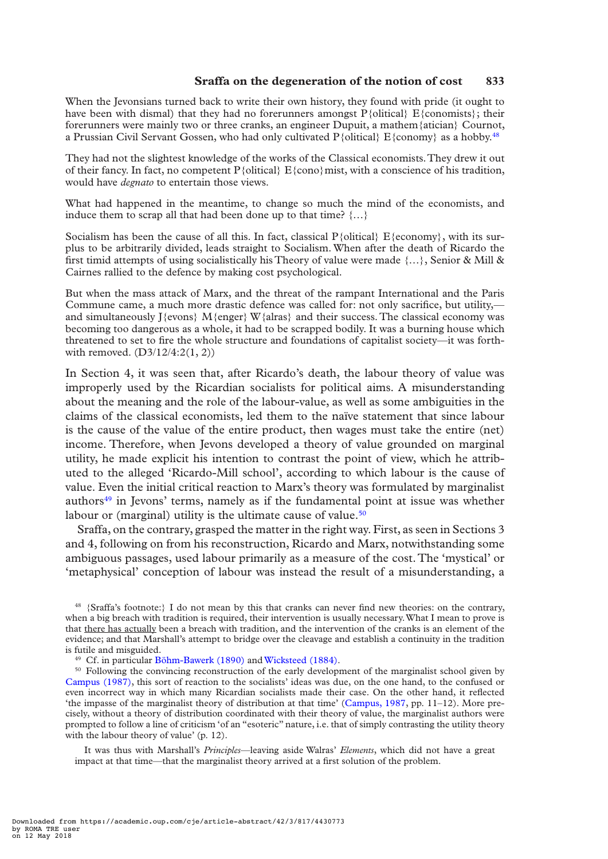When the Jevonsians turned back to write their own history, they found with pride (it ought to have been with dismal) that they had no forerunners amongst  $P\{\text{olritical}\}\ E\{\text{conomists}\}\$ ; their forerunners were mainly two or three cranks, an engineer Dupuit, a mathem{atician} Cournot, a Prussian Civil Servant Gossen, who had only cultivated P{olitical} E{conomy} as a hobby.<sup>48</sup>

They had not the slightest knowledge of the works of the Classical economists. They drew it out of their fancy. In fact, no competent  $P\{\text{oltical}\}\ E\{\text{cono}\}\$ mist, with a conscience of his tradition, would have *degnato* to entertain those views.

What had happened in the meantime, to change so much the mind of the economists, and induce them to scrap all that had been done up to that time?  $\{...\}$ 

Socialism has been the cause of all this. In fact, classical P{olitical} E{economy}, with its surplus to be arbitrarily divided, leads straight to Socialism. When after the death of Ricardo the first timid attempts of using socialistically his Theory of value were made  $\{...\}$ , Senior & Mill & Cairnes rallied to the defence by making cost psychological.

But when the mass attack of Marx, and the threat of the rampant International and the Paris Commune came, a much more drastic defence was called for: not only sacrifice, but utility, and simultaneously J{evons} M{enger} W{alras} and their success. The classical economy was becoming too dangerous as a whole, it had to be scrapped bodily. It was a burning house which threatened to set to fire the whole structure and foundations of capitalist society—it was forthwith removed. (D3/12/4:2(1, 2))

In Section 4, it was seen that, after Ricardo's death, the labour theory of value was improperly used by the Ricardian socialists for political aims. A misunderstanding about the meaning and the role of the labour-value, as well as some ambiguities in the claims of the classical economists, led them to the naïve statement that since labour is the cause of the value of the entire product, then wages must take the entire (net) income. Therefore, when Jevons developed a theory of value grounded on marginal utility, he made explicit his intention to contrast the point of view, which he attributed to the alleged 'Ricardo-Mill school', according to which labour is the cause of value. Even the initial critical reaction to Marx's theory was formulated by marginalist authors<sup>49</sup> in Jevons' terms, namely as if the fundamental point at issue was whether labour or (marginal) utility is the ultimate cause of value. $50$ 

Sraffa, on the contrary, grasped the matter in the right way. First, as seen in Sections 3 and 4, following on from his reconstruction, Ricardo and Marx, notwithstanding some ambiguous passages, used labour primarily as a measure of the cost. The 'mystical' or 'metaphysical' conception of labour was instead the result of a misunderstanding, a

<sup>48</sup> {Sraffa's footnote:} I do not mean by this that cranks can never find new theories: on the contrary, when a big breach with tradition is required, their intervention is usually necessary. What I mean to prove is that there has actually been a breach with tradition, and the intervention of the cranks is an element of the evidence; and that Marshall's attempt to bridge over the cleavage and establish a continuity in the tradition is futile and misguided.

<sup>49</sup> Cf. in particular Böhm-Bawerk (1890) and Wicksteed (1884).

<sup>50</sup> Following the convincing reconstruction of the early development of the marginalist school given by Campus (1987), this sort of reaction to the socialists' ideas was due, on the one hand, to the confused or even incorrect way in which many Ricardian socialists made their case. On the other hand, it reflected 'the impasse of the marginalist theory of distribution at that time' (Campus, 1987, pp. 11–12). More precisely, without a theory of distribution coordinated with their theory of value, the marginalist authors were prompted to follow a line of criticism 'of an "esoteric" nature, i.e. that of simply contrasting the utility theory with the labour theory of value' (p. 12).

It was thus with Marshall's *Principles*—leaving aside Walras' *Elements*, which did not have a great impact at that time—that the marginalist theory arrived at a first solution of the problem.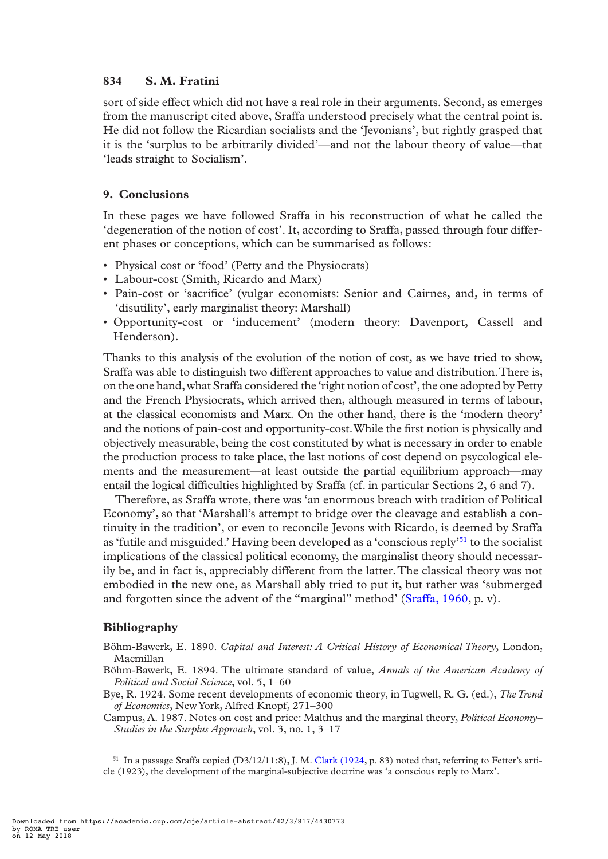sort of side effect which did not have a real role in their arguments. Second, as emerges from the manuscript cited above, Sraffa understood precisely what the central point is. He did not follow the Ricardian socialists and the 'Jevonians', but rightly grasped that it is the 'surplus to be arbitrarily divided'—and not the labour theory of value—that 'leads straight to Socialism'.

# **9. Conclusions**

In these pages we have followed Sraffa in his reconstruction of what he called the 'degeneration of the notion of cost'. It, according to Sraffa, passed through four different phases or conceptions, which can be summarised as follows:

- Physical cost or 'food' (Petty and the Physiocrats)
- Labour-cost (Smith, Ricardo and Marx)
- Pain-cost or 'sacrifice' (vulgar economists: Senior and Cairnes, and, in terms of 'disutility', early marginalist theory: Marshall)
- Opportunity-cost or 'inducement' (modern theory: Davenport, Cassell and Henderson).

Thanks to this analysis of the evolution of the notion of cost, as we have tried to show, Sraffa was able to distinguish two different approaches to value and distribution. There is, on the one hand, what Sraffa considered the 'right notion of cost', the one adopted by Petty and the French Physiocrats, which arrived then, although measured in terms of labour, at the classical economists and Marx. On the other hand, there is the 'modern theory' and the notions of pain-cost and opportunity-cost. While the first notion is physically and objectively measurable, being the cost constituted by what is necessary in order to enable the production process to take place, the last notions of cost depend on psycological elements and the measurement—at least outside the partial equilibrium approach—may entail the logical difficulties highlighted by Sraffa (cf. in particular Sections 2, 6 and 7).

Therefore, as Sraffa wrote, there was 'an enormous breach with tradition of Political Economy', so that 'Marshall's attempt to bridge over the cleavage and establish a continuity in the tradition', or even to reconcile Jevons with Ricardo, is deemed by Sraffa as 'futile and misguided.' Having been developed as a 'conscious reply'51 to the socialist implications of the classical political economy, the marginalist theory should necessarily be, and in fact is, appreciably different from the latter. The classical theory was not embodied in the new one, as Marshall ably tried to put it, but rather was 'submerged and forgotten since the advent of the "marginal" method' (Sraffa, 1960, p. v).

## **Bibliography**

- Böhm-Bawerk, E. 1890. *Capital and Interest: A Critical History of Economical Theory*, London, Macmillan
- Böhm-Bawerk, E. 1894. The ultimate standard of value, *Annals of the American Academy of Political and Social Science*, vol. 5, 1–60
- Bye, R. 1924. Some recent developments of economic theory, in Tugwell, R. G. (ed.), *The Trend of Economics*, New York, Alfred Knopf, 271–300
- Campus, A. 1987. Notes on cost and price: Malthus and the marginal theory, *Political Economy– Studies in the Surplus Approach*, vol. 3, no. 1, 3–17

<sup>51</sup> In a passage Sraffa copied (D3/12/11:8), J. M. Clark (1924, p. 83) noted that, referring to Fetter's article (1923), the development of the marginal-subjective doctrine was 'a conscious reply to Marx'.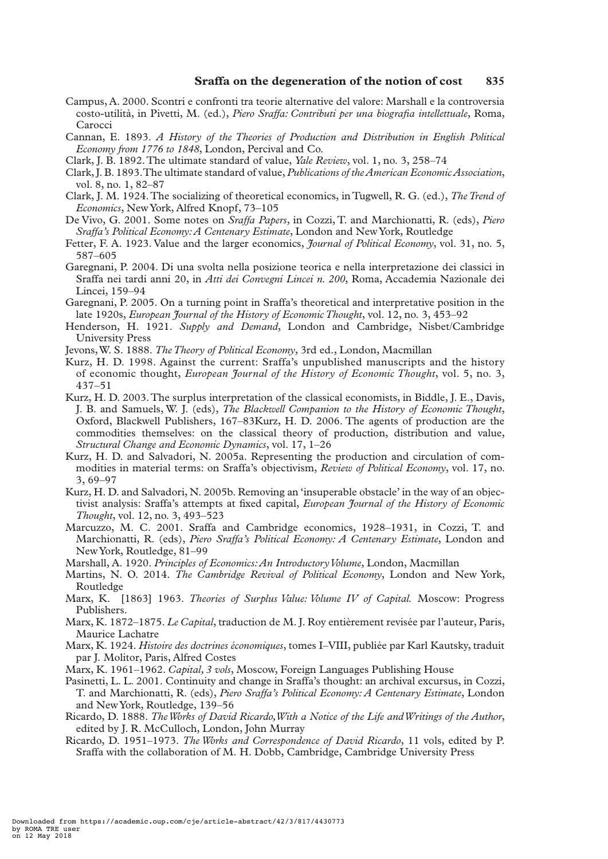- Campus, A. 2000. Scontri e confronti tra teorie alternative del valore: Marshall e la controversia costo-utilità, in Pivetti, M. (ed.), *Piero Sraffa: Contributi per una biogra!a intellettuale*, Roma, Carocci
- Cannan, E. 1893. *A History of the Theories of Production and Distribution in English Political Economy from 1776 to 1848*, London, Percival and Co.
- Clark, J. B. 1892. The ultimate standard of value, *Yale Review*, vol. 1, no. 3, 258–74
- Clark, J. B. 1893. The ultimate standard of value, *Publications of the American Economic Association*, vol. 8, no. 1, 82–87
- Clark, J. M. 1924. The socializing of theoretical economics, in Tugwell, R. G. (ed.), *The Trend of Economics*, New York, Alfred Knopf, 73–105
- De Vivo, G. 2001. Some notes on *Sraffa Papers*, in Cozzi, T. and Marchionatti, R. (eds), *Piero Sraffa's Political Economy: A Centenary Estimate*, London and New York, Routledge
- Fetter, F. A. 1923. Value and the larger economics, *Journal of Political Economy*, vol. 31, no. 5, 587–605
- Garegnani, P. 2004. Di una svolta nella posizione teorica e nella interpretazione dei classici in Sraffa nei tardi anni 20, in *Atti dei Convegni Lincei n. 200*, Roma, Accademia Nazionale dei Lincei, 159–94
- Garegnani, P. 2005. On a turning point in Sraffa's theoretical and interpretative position in the late 1920s, *European Journal of the History of Economic Thought*, vol. 12, no. 3, 453–92
- Henderson, H. 1921. *Supply and Demand*, London and Cambridge, Nisbet/Cambridge University Press
- Jevons, W. S. 1888. *The Theory of Political Economy*, 3rd ed., London, Macmillan
- Kurz, H. D. 1998. Against the current: Sraffa's unpublished manuscripts and the history of economic thought, *European Journal of the History of Economic Thought*, vol. 5, no. 3, 437–51
- Kurz, H. D. 2003. The surplus interpretation of the classical economists, in Biddle, J. E., Davis, J. B. and Samuels, W. J. (eds), *The Blackwell Companion to the History of Economic Thought*, Oxford, Blackwell Publishers, 167–83Kurz, H. D. 2006. The agents of production are the commodities themselves: on the classical theory of production, distribution and value, *Structural Change and Economic Dynamics*, vol. 17, 1–26
- Kurz, H. D. and Salvadori, N. 2005a. Representing the production and circulation of commodities in material terms: on Sraffa's objectivism, *Review of Political Economy*, vol. 17, no. 3, 69–97
- Kurz, H. D. and Salvadori, N. 2005b. Removing an 'insuperable obstacle' in the way of an objectivist analysis: Sraffa's attempts at fixed capital, *European 'fournal of the History of Economic Thought*, vol. 12, no. 3, 493–523
- Marcuzzo, M. C. 2001. Sraffa and Cambridge economics, 1928–1931, in Cozzi, T. and Marchionatti, R. (eds), *Piero Sraffa's Political Economy: A Centenary Estimate*, London and New York, Routledge, 81–99
- Marshall, A. 1920. *Principles of Economics: An Introductory Volume*, London, Macmillan
- Martins, N. O. 2014. *The Cambridge Revival of Political Economy*, London and New York, Routledge
- Marx, K. [1863] 1963. *Theories of Surplus Value: Volume IV of Capital.* Moscow: Progress Publishers.
- Marx, K. 1872–1875. *Le Capital*, traduction de M. J. Roy entièrement revisée par l'auteur, Paris, Maurice Lachatre
- Marx, K. 1924. *Histoire des doctrines économiques*, tomes I–VIII, publiée par Karl Kautsky, traduit par J. Molitor, Paris, Alfred Costes
- Marx, K. 1961–1962. *Capital, 3 vols*, Moscow, Foreign Languages Publishing House
- Pasinetti, L. L. 2001. Continuity and change in Sraffa's thought: an archival excursus, in Cozzi, T. and Marchionatti, R. (eds), *Piero Sraffa's Political Economy: A Centenary Estimate*, London and New York, Routledge, 139–56
- Ricardo, D. 1888. *The Works of David Ricardo, With a Notice of the Life and Writings of the Author*, edited by J. R. McCulloch, London, John Murray
- Ricardo, D. 1951–1973. *The Works and Correspondence of David Ricardo*, 11 vols, edited by P. Sraffa with the collaboration of M. H. Dobb, Cambridge, Cambridge University Press